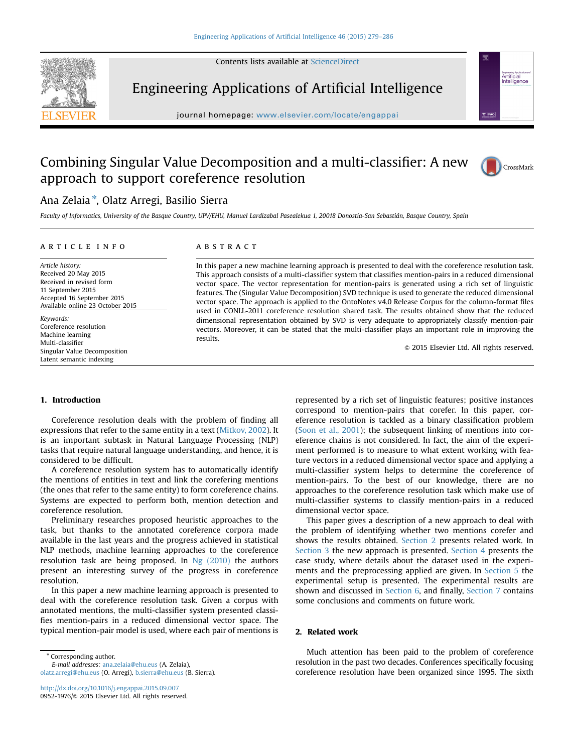Contents lists available at [ScienceDirect](www.sciencedirect.com/science/journal/09521976)



Engineering Applications of Artificial Intelligence

journal homepage: <www.elsevier.com/locate/engappai>

# Combining Singular Value Decomposition and a multi-classifier: A new approach to support coreference resolution



Artificial Arundiai<br>Intelligence

## Ana Zelaia<sup>\*</sup>, Olatz Arregi, Basilio Sierra

Faculty of Informatics, University of the Basque Country, UPV/EHU, Manuel Lardizabal Pasealekua 1, 20018 Donostia-San Sebastián, Basque Country, Spain

### article info

Article history: Received 20 May 2015 Received in revised form 11 September 2015 Accepted 16 September 2015 Available online 23 October 2015

Keywords: Coreference resolution Machine learning Multi-classifier Singular Value Decomposition Latent semantic indexing

## ABSTRACT

In this paper a new machine learning approach is presented to deal with the coreference resolution task. This approach consists of a multi-classifier system that classifies mention-pairs in a reduced dimensional vector space. The vector representation for mention-pairs is generated using a rich set of linguistic features. The (Singular Value Decomposition) SVD technique is used to generate the reduced dimensional vector space. The approach is applied to the OntoNotes v4.0 Release Corpus for the column-format files used in CONLL-2011 coreference resolution shared task. The results obtained show that the reduced dimensional representation obtained by SVD is very adequate to appropriately classify mention-pair vectors. Moreover, it can be stated that the multi-classifier plays an important role in improving the results.

 $@$  2015 Elsevier Ltd. All rights reserved.

## 1. Introduction

Coreference resolution deals with the problem of finding all expressions that refer to the same entity in a text ([Mitkov, 2002](#page-7-0)). It is an important subtask in Natural Language Processing (NLP) tasks that require natural language understanding, and hence, it is considered to be difficult.

A coreference resolution system has to automatically identify the mentions of entities in text and link the corefering mentions (the ones that refer to the same entity) to form coreference chains. Systems are expected to perform both, mention detection and coreference resolution.

Preliminary researches proposed heuristic approaches to the task, but thanks to the annotated coreference corpora made available in the last years and the progress achieved in statistical NLP methods, machine learning approaches to the coreference resolution task are being proposed. In [Ng \(2010\)](#page-7-0) the authors present an interesting survey of the progress in coreference resolution.

In this paper a new machine learning approach is presented to deal with the coreference resolution task. Given a corpus with annotated mentions, the multi-classifier system presented classifies mention-pairs in a reduced dimensional vector space. The typical mention-pair model is used, where each pair of mentions is

\* Corresponding author.

E-mail addresses: [ana.zelaia@ehu.eus](mailto:ana.zelaia@ehu.eus) (A. Zelaia), [olatz.arregi@ehu.eus](mailto:olatz.arregi@ehu.eus) (O. Arregi), [b.sierra@ehu.eus](mailto:b.sierra@ehu.eus) (B. Sierra). represented by a rich set of linguistic features; positive instances correspond to mention-pairs that corefer. In this paper, coreference resolution is tackled as a binary classification problem ([Soon et al., 2001\)](#page-7-0); the subsequent linking of mentions into coreference chains is not considered. In fact, the aim of the experiment performed is to measure to what extent working with feature vectors in a reduced dimensional vector space and applying a multi-classifier system helps to determine the coreference of mention-pairs. To the best of our knowledge, there are no approaches to the coreference resolution task which make use of multi-classifier systems to classify mention-pairs in a reduced dimensional vector space.

This paper gives a description of a new approach to deal with the problem of identifying whether two mentions corefer and shows the results obtained. Section 2 presents related work. In [Section 3](#page-1-0) the new approach is presented. [Section 4](#page-2-0) presents the case study, where details about the dataset used in the experiments and the preprocessing applied are given. In [Section 5](#page-4-0) the experimental setup is presented. The experimental results are shown and discussed in [Section 6](#page-4-0), and finally, [Section 7](#page-6-0) contains some conclusions and comments on future work.

## 2. Related work

Much attention has been paid to the problem of coreference resolution in the past two decades. Conferences specifically focusing coreference resolution have been organized since 1995. The sixth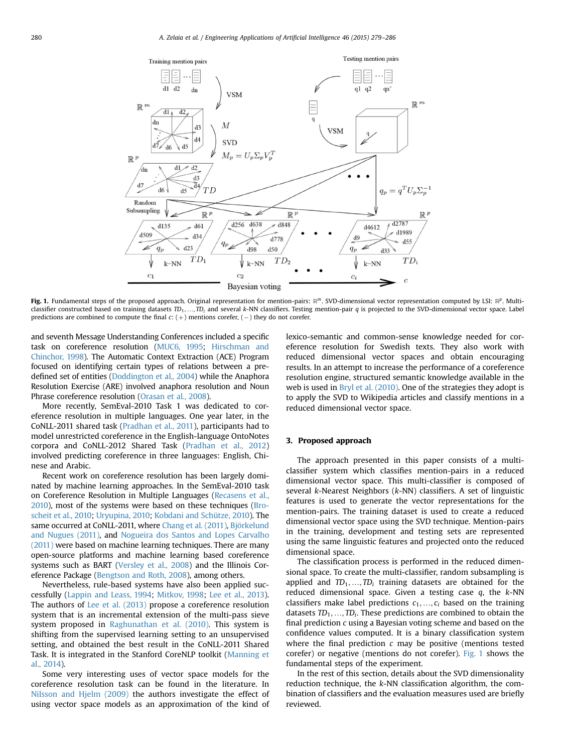<span id="page-1-0"></span>

Fig. 1. Fundamental steps of the proposed approach. Original representation for mention-pairs:  $\mathbb{R}^m$ . SVD-dimensional vector representation computed by LSI:  $\mathbb{R}^p$ . Multiclassifier constructed based on training datasets  $TD_1, ..., TD_i$  and several k-NN classifiers. Testing mention-pair q is projected to the SVD-dimensional vector space. Label predictions are combined to compute the final  $c: (+)$  mentions corefer,  $(-)$  they do not corefer.

and seventh Message Understanding Conferences included a specific task on coreference resolution ([MUC6, 1995](#page-7-0); [Hirschman and](#page-7-0) [Chinchor, 1998](#page-7-0)). The Automatic Context Extraction (ACE) Program focused on identifying certain types of relations between a predefined set of entities [\(Doddington et al., 2004\)](#page-7-0) while the Anaphora Resolution Exercise (ARE) involved anaphora resolution and Noun Phrase coreference resolution [\(Orasan et al., 2008\)](#page-7-0).

More recently, SemEval-2010 Task 1 was dedicated to coreference resolution in multiple languages. One year later, in the CoNLL-2011 shared task [\(Pradhan et al., 2011](#page-7-0)), participants had to model unrestricted coreference in the English-language OntoNotes corpora and CoNLL-2012 Shared Task ([Pradhan et al., 2012\)](#page-7-0) involved predicting coreference in three languages: English, Chinese and Arabic.

Recent work on coreference resolution has been largely dominated by machine learning approaches. In the SemEval-2010 task on Coreference Resolution in Multiple Languages [\(Recasens et al.,](#page-7-0) [2010\)](#page-7-0), most of the systems were based on these techniques ([Bro](#page-6-0)[scheit et al., 2010](#page-6-0); [Uryupina, 2010;](#page-7-0) [Kobdani and Schütze, 2010\)](#page-7-0). The same occurred at CoNLL-2011, where [Chang et al. \(2011\)](#page-6-0), [Björkelund](#page-6-0) [and Nugues \(2011\),](#page-6-0) and [Nogueira dos Santos and Lopes Carvalho](#page-7-0) [\(2011\)](#page-7-0) were based on machine learning techniques. There are many open-source platforms and machine learning based coreference systems such as BART ([Versley et al., 2008](#page-7-0)) and the Illinois Coreference Package [\(Bengtson and Roth, 2008\)](#page-6-0), among others.

Nevertheless, rule-based systems have also been applied successfully [\(Lappin and Leass, 1994;](#page-7-0) [Mitkov, 1998;](#page-7-0) [Lee et al., 2013\)](#page-7-0). The authors of [Lee et al. \(2013\)](#page-7-0) propose a coreference resolution system that is an incremental extension of the multi-pass sieve system proposed in [Raghunathan et al. \(2010\).](#page-7-0) This system is shifting from the supervised learning setting to an unsupervised setting, and obtained the best result in the CoNLL-2011 Shared Task. It is integrated in the Stanford CoreNLP toolkit ([Manning et](#page-7-0) [al., 2014](#page-7-0)).

Some very interesting uses of vector space models for the coreference resolution task can be found in the literature. In [Nilsson and Hjelm \(2009\)](#page-7-0) the authors investigate the effect of using vector space models as an approximation of the kind of lexico-semantic and common-sense knowledge needed for coreference resolution for Swedish texts. They also work with reduced dimensional vector spaces and obtain encouraging results. In an attempt to increase the performance of a coreference resolution engine, structured semantic knowledge available in the web is used in [Bryl et al. \(2010\).](#page-6-0) One of the strategies they adopt is to apply the SVD to Wikipedia articles and classify mentions in a reduced dimensional vector space.

## 3. Proposed approach

The approach presented in this paper consists of a multiclassifier system which classifies mention-pairs in a reduced dimensional vector space. This multi-classifier is composed of several k-Nearest Neighbors (k-NN) classifiers. A set of linguistic features is used to generate the vector representations for the mention-pairs. The training dataset is used to create a reduced dimensional vector space using the SVD technique. Mention-pairs in the training, development and testing sets are represented using the same linguistic features and projected onto the reduced dimensional space.

The classification process is performed in the reduced dimensional space. To create the multi-classifier, random subsampling is applied and  $TD_1, ..., TD_i$  training datasets are obtained for the reduced dimensional space. Given a testing case  $q$ , the  $k$ -NN classifiers make label predictions  $c_1, ..., c_i$  based on the training datasets  $TD_1, ..., TD_i$ . These predictions are combined to obtain the final prediction c using a Bayesian voting scheme and based on the confidence values computed. It is a binary classification system where the final prediction  $c$  may be positive (mentions tested corefer) or negative (mentions do not corefer). Fig. 1 shows the fundamental steps of the experiment.

In the rest of this section, details about the SVD dimensionality reduction technique, the k-NN classification algorithm, the combination of classifiers and the evaluation measures used are briefly reviewed.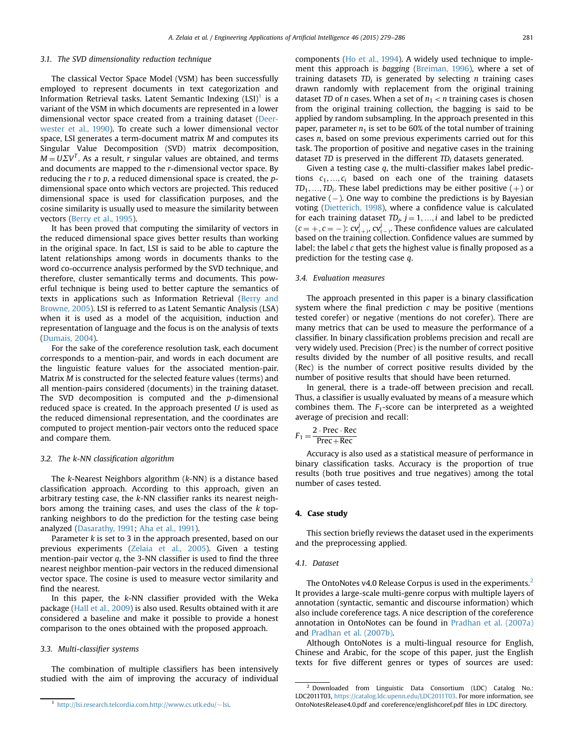## <span id="page-2-0"></span>3.1. The SVD dimensionality reduction technique

The classical Vector Space Model (VSM) has been successfully employed to represent documents in text categorization and Information Retrieval tasks. Latent Semantic Indexing  $(LSI)^{1}$  is a variant of the VSM in which documents are represented in a lower dimensional vector space created from a training dataset ([Deer](#page-6-0)[wester et al., 1990\)](#page-6-0). To create such a lower dimensional vector space, LSI generates a term-document matrix M and computes its Singular Value Decomposition (SVD) matrix decomposition,  $M = U\Sigma V^{T}$ . As a result, r singular values are obtained, and terms and documents are mapped to the r-dimensional vector space. By reducing the  $r$  to  $p$ , a reduced dimensional space is created, the  $p$ dimensional space onto which vectors are projected. This reduced dimensional space is used for classification purposes, and the cosine similarity is usually used to measure the similarity between vectors ([Berry et al., 1995\)](#page-6-0).

It has been proved that computing the similarity of vectors in the reduced dimensional space gives better results than working in the original space. In fact, LSI is said to be able to capture the latent relationships among words in documents thanks to the word co-occurrence analysis performed by the SVD technique, and therefore, cluster semantically terms and documents. This powerful technique is being used to better capture the semantics of texts in applications such as Information Retrieval [\(Berry and](#page-6-0) [Browne, 2005](#page-6-0)). LSI is referred to as Latent Semantic Analysis (LSA) when it is used as a model of the acquisition, induction and representation of language and the focus is on the analysis of texts ([Dumais, 2004](#page-7-0)).

For the sake of the coreference resolution task, each document corresponds to a mention-pair, and words in each document are the linguistic feature values for the associated mention-pair. Matrix M is constructed for the selected feature values (terms) and all mention-pairs considered (documents) in the training dataset. The SVD decomposition is computed and the p-dimensional reduced space is created. In the approach presented  $U$  is used as the reduced dimensional representation, and the coordinates are computed to project mention-pair vectors onto the reduced space and compare them.

## 3.2. The k-NN classification algorithm

The k-Nearest Neighbors algorithm (k-NN) is a distance based classification approach. According to this approach, given an arbitrary testing case, the k-NN classifier ranks its nearest neighbors among the training cases, and uses the class of the k topranking neighbors to do the prediction for the testing case being analyzed ([Dasarathy, 1991;](#page-6-0) [Aha et al., 1991\)](#page-6-0).

Parameter  $k$  is set to 3 in the approach presented, based on our previous experiments ([Zelaia et al., 2005](#page-7-0)). Given a testing mention-pair vector q, the 3-NN classifier is used to find the three nearest neighbor mention-pair vectors in the reduced dimensional vector space. The cosine is used to measure vector similarity and find the nearest.

In this paper, the  $k$ -NN classifier provided with the Weka package [\(Hall et al., 2009](#page-7-0)) is also used. Results obtained with it are considered a baseline and make it possible to provide a honest comparison to the ones obtained with the proposed approach.

## 3.3. Multi-classifier systems

The combination of multiple classifiers has been intensively studied with the aim of improving the accuracy of individual components [\(Ho et al., 1994](#page-7-0)). A widely used technique to implement this approach is bagging [\(Breiman, 1996\)](#page-6-0), where a set of training datasets  $TD_i$  is generated by selecting n training cases drawn randomly with replacement from the original training dataset TD of *n* cases. When a set of  $n_1 < n$  training cases is chosen from the original training collection, the bagging is said to be applied by random subsampling. In the approach presented in this paper, parameter  $n_1$  is set to be 60% of the total number of training cases n, based on some previous experiments carried out for this task. The proportion of positive and negative cases in the training dataset  $TD$  is preserved in the different  $TD_i$  datasets generated.

Given a testing case q, the multi-classifier makes label predictions  $c_1, ..., c_i$  based on each one of the training datasets  $TD_1, \ldots, TD_i$ . These label predictions may be either positive  $(+)$  or negative  $(-)$ . One way to combine the predictions is by Bayesian voting ([Dietterich, 1998\)](#page-7-0), where a confidence value is calculated for each training dataset  $TD_j$ ,  $j = 1, ..., i$  and label to be predicted  $(c = +, c = -): cv^{j}_{(+)}, cv^{j}_{(+)}.$  These confidence values are calculated based on the training collection. Confidence values are summed by label; the label  $c$  that gets the highest value is finally proposed as a prediction for the testing case q.

#### 3.4. Evaluation measures

The approach presented in this paper is a binary classification system where the final prediction  $c$  may be positive (mentions tested corefer) or negative (mentions do not corefer). There are many metrics that can be used to measure the performance of a classifier. In binary classification problems precision and recall are very widely used. Precision (Prec) is the number of correct positive results divided by the number of all positive results, and recall (Rec) is the number of correct positive results divided by the number of positive results that should have been returned.

In general, there is a trade-off between precision and recall. Thus, a classifier is usually evaluated by means of a measure which combines them. The  $F_1$ -score can be interpreted as a weighted average of precision and recall:

$$
F_1 = \frac{2 \cdot \text{Prec} \cdot \text{Rec}}{\text{Prec} + \text{Rec}}
$$

Accuracy is also used as a statistical measure of performance in binary classification tasks. Accuracy is the proportion of true results (both true positives and true negatives) among the total number of cases tested.

#### 4. Case study

This section briefly reviews the dataset used in the experiments and the preprocessing applied.

#### 4.1. Dataset

The OntoNotes v4.0 Release Corpus is used in the experiments.<sup>2</sup> It provides a large-scale multi-genre corpus with multiple layers of annotation (syntactic, semantic and discourse information) which also include coreference tags. A nice description of the coreference annotation in OntoNotes can be found in [Pradhan et al. \(2007a\)](#page-7-0) and [Pradhan et al. \(2007b\)](#page-7-0).

Although OntoNotes is a multi-lingual resource for English, Chinese and Arabic, for the scope of this paper, just the English texts for five different genres or types of sources are used:

<sup>&</sup>lt;sup>1</sup> [http://lsi.research.telcordia.com,http://www.cs.utk.edu/](http://lsi.research.telcordia.com,http://www.cs.utk.edu/~lsi) $\sim$ [lsi.](http://lsi.research.telcordia.com,http://www.cs.utk.edu/~lsi)

<sup>2</sup> Downloaded from Linguistic Data Consortium (LDC) Catalog No.: LDC2011T03, <https://catalog.ldc.upenn.edu/LDC2011T03>. For more information, see OntoNotesRelease4.0.pdf and coreference/englishcoref.pdf files in LDC directory.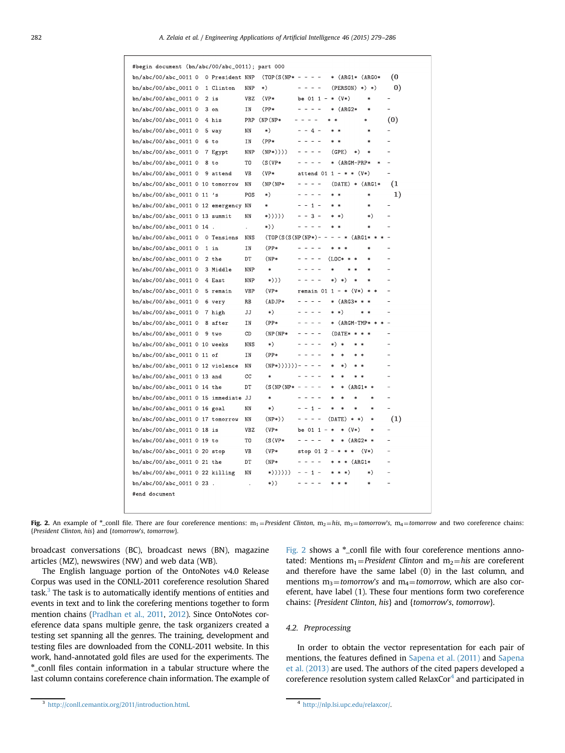<span id="page-3-0"></span>

| #begin document (bn/abc/00/abc_0011); part 000 |  |                 |                      |                    |                                                                                                                                                                                                                                                                                                                                                                                                                                                |                                    |                  |                          |
|------------------------------------------------|--|-----------------|----------------------|--------------------|------------------------------------------------------------------------------------------------------------------------------------------------------------------------------------------------------------------------------------------------------------------------------------------------------------------------------------------------------------------------------------------------------------------------------------------------|------------------------------------|------------------|--------------------------|
| bn/abc/00/abc_0011 0                           |  | 0 President NNP |                      | $(TOP(S(NP* - - -$ |                                                                                                                                                                                                                                                                                                                                                                                                                                                | * (ARG1* (ARG0*                    |                  | (0                       |
| bn/abc/00/abc_0011 0                           |  | 1 Clinton       | <b>NNP</b>           | $*)$               | $  -$                                                                                                                                                                                                                                                                                                                                                                                                                                          | $(PERSON)$ *) *)                   |                  | $\left( 0\right)$        |
| bn/abc/00/abc_0011 0                           |  | $2$ is          | <b>VBZ</b>           | $(VP*$             | be $011 -$                                                                                                                                                                                                                                                                                                                                                                                                                                     | $*$ $(V*)$                         | $\ast$           | $\overline{a}$           |
| bn/abc/00/abc_0011 0                           |  | 3 on            | ΙN                   | $(PP*$             | $  -$                                                                                                                                                                                                                                                                                                                                                                                                                                          | $(ARG2*$<br>$\ast$                 | ×.               | $\overline{\phantom{0}}$ |
| bn/abc/00/abc_0011 0                           |  | 4 his           | PRP                  | $(NP(NP*)$         | $\overline{\phantom{a}}$                                                                                                                                                                                                                                                                                                                                                                                                                       |                                    | $\ast$           | (0)                      |
| bn/abc/00/abc_0011 0                           |  | 5 way           | ΝN                   | *)                 | $-4-$                                                                                                                                                                                                                                                                                                                                                                                                                                          | ×.                                 | $\ast$           |                          |
| bn/abc/00/abc_0011 0                           |  | 6 to            | ΙN                   | $(PP*$             | $\frac{1}{2}$                                                                                                                                                                                                                                                                                                                                                                                                                                  |                                    | ×                |                          |
| bn/abc/00/abc_0011 0                           |  | 7 Egypt         | NNP                  | $(NP*))))$         |                                                                                                                                                                                                                                                                                                                                                                                                                                                | (GPE)<br>*)                        | $\ast$           |                          |
| bn/abc/00/abc_0011 0                           |  | 8 to            | TO                   | $(S(VP*)$          |                                                                                                                                                                                                                                                                                                                                                                                                                                                | (ARGM-PRP*                         |                  |                          |
| bn/abc/00/abc_0011 0                           |  | 9 attend        | VB                   | $(VP*$             | attend 01 1 - * * $(V*)$                                                                                                                                                                                                                                                                                                                                                                                                                       |                                    |                  |                          |
| bn/abc/00/abc_0011 0 10 tomorrow               |  |                 | ΝN                   | $(NP(NP*)$         | $\frac{1}{2} \frac{1}{2} \frac{1}{2} \frac{1}{2} \frac{1}{2} \frac{1}{2} \frac{1}{2} \frac{1}{2} \frac{1}{2} \frac{1}{2} \frac{1}{2} \frac{1}{2} \frac{1}{2} \frac{1}{2} \frac{1}{2} \frac{1}{2} \frac{1}{2} \frac{1}{2} \frac{1}{2} \frac{1}{2} \frac{1}{2} \frac{1}{2} \frac{1}{2} \frac{1}{2} \frac{1}{2} \frac{1}{2} \frac{1}{2} \frac{1}{2} \frac{1}{2} \frac{1}{2} \frac{1}{2} \frac{$                                                   | $(DATE) * (ARG1*$                  |                  | (1)                      |
| bn/abc/00/abc_0011 0 11 's                     |  |                 | POS                  | $*)$               | $\frac{1}{2} \frac{1}{2} \frac{1}{2} \frac{1}{2} \frac{1}{2} \frac{1}{2} \frac{1}{2} \frac{1}{2} \frac{1}{2} \frac{1}{2} \frac{1}{2} \frac{1}{2} \frac{1}{2} \frac{1}{2} \frac{1}{2} \frac{1}{2} \frac{1}{2} \frac{1}{2} \frac{1}{2} \frac{1}{2} \frac{1}{2} \frac{1}{2} \frac{1}{2} \frac{1}{2} \frac{1}{2} \frac{1}{2} \frac{1}{2} \frac{1}{2} \frac{1}{2} \frac{1}{2} \frac{1}{2} \frac{$                                                   | $\ast$<br>$\ast$                   | $\ast$           | 1)                       |
| bn/abc/00/abc_0011 0 12 emergency NN           |  |                 |                      | $\ast$             | $ -$<br>$1 -$                                                                                                                                                                                                                                                                                                                                                                                                                                  | $\ast$                             | $\ast$           |                          |
| bn/abc/00/abc_0011 0 13 summit                 |  |                 | ΝN                   | *)))))             | $- - 3 -$                                                                                                                                                                                                                                                                                                                                                                                                                                      | sk.<br>$*)$                        | $*)$             |                          |
| bn/abc/00/abc_0011 0 14                        |  |                 | $\overline{a}$       | *))                | $\overline{\phantom{a}}$<br>$\overline{\phantom{a}}$<br>$\overline{\phantom{a}}$                                                                                                                                                                                                                                                                                                                                                               |                                    | $\ast$           |                          |
| bn/abc/00/abc_0011 0                           |  | 0 Tensions      | NNS                  |                    | $(TOP(S(S(NP(NP*) - -$                                                                                                                                                                                                                                                                                                                                                                                                                         | $\ast$<br>$\overline{\phantom{m}}$ | $(ARG1*$         |                          |
| bn/abc/00/abc_0011 0                           |  | $1$ in          | IN                   | $(PP*$             | $\frac{1}{2}$                                                                                                                                                                                                                                                                                                                                                                                                                                  | $\ast$                             | $\ast$           |                          |
| bn/abc/00/abc_0011 0                           |  | 2 the           | DT                   | $(NP*$             | $\sim$                                                                                                                                                                                                                                                                                                                                                                                                                                         | $(LOC*$<br>$\ast$                  |                  |                          |
| bn/abc/00/abc_0011 0                           |  | 3 Middle        | <b>NNP</b>           | $\ast$             |                                                                                                                                                                                                                                                                                                                                                                                                                                                | $\ast$                             | $\ast$           |                          |
| bn/abc/00/abc_0011 0                           |  | 4 East          | <b>NNP</b>           | $\ast$ ))          | $\frac{1}{2}$                                                                                                                                                                                                                                                                                                                                                                                                                                  | *)<br>$*)$<br>$\ast$               | ×                |                          |
| bn/abc/00/abc_0011 0                           |  | 5 remain        | <b>VBP</b>           | $(VP*$             | remain $01 1 - * (V*)$                                                                                                                                                                                                                                                                                                                                                                                                                         |                                    | $\ast$<br>$\ast$ | $\overline{\phantom{0}}$ |
| bn/abc/00/abc_0011 0                           |  | 6 very          | <b>RB</b>            | $(ADJP*$           | $\sim$<br>$ -$                                                                                                                                                                                                                                                                                                                                                                                                                                 | $(ARG3*$<br>$\ast$                 |                  |                          |
| bn/abc/00/abc_0011 0                           |  | 7 high          | JJ                   | *)                 | ÷                                                                                                                                                                                                                                                                                                                                                                                                                                              | $*)$<br>sk.                        | $\ast$           |                          |
| bn/abc/00/abc_0011 0                           |  | 8 after         | ΙN                   | $(PP*$             | $ -$                                                                                                                                                                                                                                                                                                                                                                                                                                           | $(ARGM-TMP*$<br>$\ast$             | $\ast$           |                          |
| bn/abc/00/abc_0011_0                           |  | 9 two           | CD                   | (NP(NP*            | $\frac{1}{2} \left( \frac{1}{2} \right) + \frac{1}{2} \left( \frac{1}{2} \right) + \frac{1}{2} \left( \frac{1}{2} \right) + \frac{1}{2} \left( \frac{1}{2} \right) + \frac{1}{2} \left( \frac{1}{2} \right) + \frac{1}{2} \left( \frac{1}{2} \right) + \frac{1}{2} \left( \frac{1}{2} \right) + \frac{1}{2} \left( \frac{1}{2} \right) + \frac{1}{2} \left( \frac{1}{2} \right) + \frac{1}{2} \left( \frac{1}{2} \right) + \frac{1}{2} \left($ | (DATE*<br>$\ast$                   |                  | $\overline{\phantom{0}}$ |
| bn/abc/00/abc_0011 0 10 weeks                  |  |                 | <b>NNS</b>           | *)                 |                                                                                                                                                                                                                                                                                                                                                                                                                                                | *)<br>$\ast$                       |                  |                          |
| bn/abc/00/abc_0011 0 11 of                     |  |                 | IN                   | $(PP*$             |                                                                                                                                                                                                                                                                                                                                                                                                                                                |                                    |                  | ÷                        |
| $bn/abc/00/abc_0011012$ violence               |  |                 | NN                   | $(NP*)))))$ ) -    | $\sim$ $-$                                                                                                                                                                                                                                                                                                                                                                                                                                     | *)<br>$\ast$                       |                  |                          |
| bn/abc/00/abc_0011 0 13 and                    |  |                 | cc                   | $\ast$             | $ -$                                                                                                                                                                                                                                                                                                                                                                                                                                           | $\ast$<br>$\ast$<br>$\ast$         | $\ast$           |                          |
| bn/abc/00/abc_0011 0 14 the                    |  |                 | DT                   | $(S(NP(NP* -$      | $\frac{1}{2} \left( \frac{1}{2} \right) + \frac{1}{2} \left( \frac{1}{2} \right) + \frac{1}{2} \left( \frac{1}{2} \right) + \frac{1}{2} \left( \frac{1}{2} \right) + \frac{1}{2} \left( \frac{1}{2} \right) + \frac{1}{2} \left( \frac{1}{2} \right) + \frac{1}{2} \left( \frac{1}{2} \right) + \frac{1}{2} \left( \frac{1}{2} \right) + \frac{1}{2} \left( \frac{1}{2} \right) + \frac{1}{2} \left( \frac{1}{2} \right) + \frac{1}{2} \left($ | $(ARG1*$<br>$\ast$<br>$\ast$       | $\ast$           | $\overline{\phantom{0}}$ |
| bn/abc/00/abc_0011 0 15 immediate JJ           |  |                 |                      | $\ast$             | $ -$                                                                                                                                                                                                                                                                                                                                                                                                                                           | $\ast$<br>$\ast$<br>×              | $\ast$           | $\overline{a}$           |
| bn/abc/00/abc_0011 0 16 goal                   |  |                 | ΝN                   | *)                 | $-$<br>$1 -$                                                                                                                                                                                                                                                                                                                                                                                                                                   | sk.<br>$\ast$<br>sk.               | sk.              | $\overline{a}$           |
| $bn/abc/00/abc_0011017$ tomorrow               |  |                 | ΝN                   | $(\text{NP*})$     | $\frac{1}{2}$                                                                                                                                                                                                                                                                                                                                                                                                                                  | (DATE)<br>$* *$                    | $\ast$           | (1)                      |
| bn/abc/00/abc_0011 0 18 is                     |  |                 | <b>VBZ</b>           | $(VP*$             | be $011 -$                                                                                                                                                                                                                                                                                                                                                                                                                                     | $(V*)$<br>$\ast$<br>$\ast$         | $\ast$           |                          |
| bn/abc/00/abc_0011 0 19 to                     |  |                 | T0                   | $(S(VP*)$          | $\overline{\phantom{0}}$                                                                                                                                                                                                                                                                                                                                                                                                                       | $\ast$<br>$\ast$                   | $(ARG2**$        |                          |
| bn/abc/00/abc_0011 0 20 stop                   |  |                 | VB                   | $(VP*$             | stop $012 - *$                                                                                                                                                                                                                                                                                                                                                                                                                                 | $\ast$<br>$\ast$                   | $(V*)$           | $\overline{a}$           |
| bn/abc/00/abc_0011 0 21 the                    |  |                 | DT                   | $(NP*$             |                                                                                                                                                                                                                                                                                                                                                                                                                                                | $\ast$<br>$\ast$                   | $(ARG1*$         |                          |
| $bn/abc/00/abc_001102$ killing                 |  |                 | NN                   | *))))))            | $1 -$<br>$ -$                                                                                                                                                                                                                                                                                                                                                                                                                                  | $*)$                               | $*)$             |                          |
| bn/abc/00/abc_0011 0 23 .                      |  |                 | $\ddot{\phantom{0}}$ | $\ast$ ))          |                                                                                                                                                                                                                                                                                                                                                                                                                                                |                                    | $\ast$           |                          |
| #end document                                  |  |                 |                      |                    |                                                                                                                                                                                                                                                                                                                                                                                                                                                |                                    |                  |                          |
|                                                |  |                 |                      |                    |                                                                                                                                                                                                                                                                                                                                                                                                                                                |                                    |                  |                          |

**Fig. 2.** An example of  $*_{\text{coll}}$  file. There are four coreference mentions:  $m_1$  = *President Clinton*,  $m_2$  = *his*,  $m_3$  = *tomorrow's*,  $m_4$  = *tomorrow* and two coreference chains: {President Clinton, his} and {tomorrow's, tomorrow}.

broadcast conversations (BC), broadcast news (BN), magazine articles (MZ), newswires (NW) and web data (WB).

The English language portion of the OntoNotes v4.0 Release Corpus was used in the CONLL-2011 coreference resolution Shared task.3 The task is to automatically identify mentions of entities and events in text and to link the corefering mentions together to form mention chains [\(Pradhan et al., 2011,](#page-7-0) [2012\)](#page-7-0). Since OntoNotes coreference data spans multiple genre, the task organizers created a testing set spanning all the genres. The training, development and testing files are downloaded from the CONLL-2011 website. In this work, hand-annotated gold files are used for the experiments. The \*\_conll files contain information in a tabular structure where the last column contains coreference chain information. The example of Fig. 2 shows a \*\_conll file with four coreference mentions annotated: Mentions  $m_1$ = President Clinton and  $m_2$ = his are coreferent and therefore have the same label (0) in the last column, and mentions  $m_3$ =tomorrow's and  $m_4$ =tomorrow, which are also coreferent, have label (1). These four mentions form two coreference chains: {President Clinton, his} and {tomorrow's, tomorrow}.

## 4.2. Preprocessing

In order to obtain the vector representation for each pair of mentions, the features defined in [Sapena et al. \(2011\)](#page-7-0) and [Sapena](#page-7-0) [et al. \(2013\)](#page-7-0) are used. The authors of the cited papers developed a coreference resolution system called RelaxCor $4$  and participated in

<sup>3</sup> [http://conll.cemantix.org/2011/introduction.html.](http://conll.cemantix.org/2011/introduction.html) <sup>4</sup> [http://nlp.lsi.upc.edu/relaxcor/.](http://nlp.lsi.upc.edu/relaxcor/)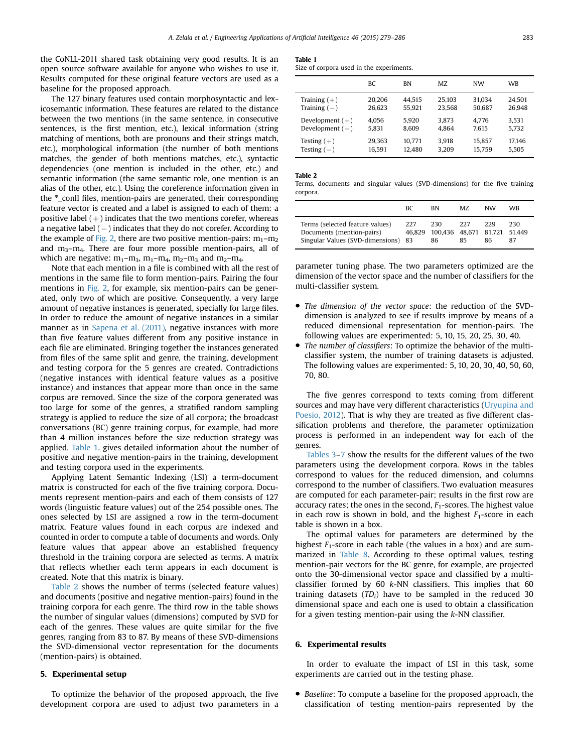<span id="page-4-0"></span>the CoNLL-2011 shared task obtaining very good results. It is an open source software available for anyone who wishes to use it. Results computed for these original feature vectors are used as a baseline for the proposed approach.

The 127 binary features used contain morphosyntactic and lexicosemantic information. These features are related to the distance between the two mentions (in the same sentence, in consecutive sentences, is the first mention, etc.), lexical information (string matching of mentions, both are pronouns and their strings match, etc.), morphological information (the number of both mentions matches, the gender of both mentions matches, etc.), syntactic dependencies (one mention is included in the other, etc.) and semantic information (the same semantic role, one mention is an alias of the other, etc.). Using the coreference information given in the \*\_conll files, mention-pairs are generated, their corresponding feature vector is created and a label is assigned to each of them: a positive label  $(+)$  indicates that the two mentions corefer, whereas a negative label (-) indicates that they do not corefer. According to the example of [Fig. 2](#page-3-0), there are two positive mention-pairs:  $m_1$ – $m_2$ and  $m_3-m_4$ . There are four more possible mention-pairs, all of which are negative:  $m_1 - m_3$ ,  $m_1 - m_4$ ,  $m_2 - m_3$  and  $m_2 - m_4$ .

Note that each mention in a file is combined with all the rest of mentions in the same file to form mention-pairs. Pairing the four mentions in [Fig. 2](#page-3-0), for example, six mention-pairs can be generated, only two of which are positive. Consequently, a very large amount of negative instances is generated, specially for large files. In order to reduce the amount of negative instances in a similar manner as in [Sapena et al. \(2011\),](#page-7-0) negative instances with more than five feature values different from any positive instance in each file are eliminated. Bringing together the instances generated from files of the same split and genre, the training, development and testing corpora for the 5 genres are created. Contradictions (negative instances with identical feature values as a positive instance) and instances that appear more than once in the same corpus are removed. Since the size of the corpora generated was too large for some of the genres, a stratified random sampling strategy is applied to reduce the size of all corpora; the broadcast conversations (BC) genre training corpus, for example, had more than 4 million instances before the size reduction strategy was applied. Table 1. gives detailed information about the number of positive and negative mention-pairs in the training, development and testing corpora used in the experiments.

Applying Latent Semantic Indexing (LSI) a term-document matrix is constructed for each of the five training corpora. Documents represent mention-pairs and each of them consists of 127 words (linguistic feature values) out of the 254 possible ones. The ones selected by LSI are assigned a row in the term-document matrix. Feature values found in each corpus are indexed and counted in order to compute a table of documents and words. Only feature values that appear above an established frequency threshold in the training corpora are selected as terms. A matrix that reflects whether each term appears in each document is created. Note that this matrix is binary.

Table 2 shows the number of terms (selected feature values) and documents (positive and negative mention-pairs) found in the training corpora for each genre. The third row in the table shows the number of singular values (dimensions) computed by SVD for each of the genres. These values are quite similar for the five genres, ranging from 83 to 87. By means of these SVD-dimensions the SVD-dimensional vector representation for the documents (mention-pairs) is obtained.

## 5. Experimental setup

To optimize the behavior of the proposed approach, the five development corpora are used to adjust two parameters in a

## Table 1

Size of corpora used in the experiments.

|                   | ВC     | <b>BN</b> | MZ.    | NW     | <b>WB</b> |
|-------------------|--------|-----------|--------|--------|-----------|
| Training $(+)$    | 20.206 | 44.515    | 25.103 | 31.034 | 24.501    |
| Training $(-)$    | 26.623 | 55.921    | 23.568 | 50.687 | 26.948    |
| Development $(+)$ | 4.056  | 5.920     | 3.873  | 4.776  | 3.531     |
| Development $(-)$ | 5.831  | 8.609     | 4.864  | 7.615  | 5.732     |
| Testing $(+)$     | 29.363 | 10.771    | 3.918  | 15.857 | 17.146    |
| Testing $(-)$     | 16.591 | 12.480    | 3.209  | 15,759 | 5.505     |

#### Table 2

Terms, documents and singular values (SVD-dimensions) for the five training corpora.

|                                                                                                     | BC.           | <b>BN</b>                          | MZ.       | NW        | WR                   |
|-----------------------------------------------------------------------------------------------------|---------------|------------------------------------|-----------|-----------|----------------------|
| Terms (selected feature values)<br>Documents (mention-pairs)<br>Singular Values (SVD-dimensions) 83 | 227<br>46.829 | 230<br>100.436 48.671 81.721<br>86 | 227<br>85 | 229<br>86 | 230.<br>51.449<br>87 |

parameter tuning phase. The two parameters optimized are the dimension of the vector space and the number of classifiers for the multi-classifier system.

- The dimension of the vector space: the reduction of the SVDdimension is analyzed to see if results improve by means of a reduced dimensional representation for mention-pairs. The following values are experimented: 5, 10, 15, 20, 25, 30, 40.
- The number of classifiers: To optimize the behavior of the multiclassifier system, the number of training datasets is adjusted. The following values are experimented: 5, 10, 20, 30, 40, 50, 60, 70, 80.

The five genres correspond to texts coming from different sources and may have very different characteristics ([Uryupina and](#page-7-0) [Poesio, 2012](#page-7-0)). That is why they are treated as five different classification problems and therefore, the parameter optimization process is performed in an independent way for each of the genres.

[Tables 3](#page-5-0)–[7](#page-5-0) show the results for the different values of the two parameters using the development corpora. Rows in the tables correspond to values for the reduced dimension, and columns correspond to the number of classifiers. Two evaluation measures are computed for each parameter-pair; results in the first row are accuracy rates; the ones in the second,  $F_1$ -scores. The highest value in each row is shown in bold, and the highest  $F_1$ -score in each table is shown in a box.

The optimal values for parameters are determined by the highest  $F_1$ -score in each table (the values in a box) and are sum-marized in [Table 8.](#page-5-0) According to these optimal values, testing mention-pair vectors for the BC genre, for example, are projected onto the 30-dimensional vector space and classified by a multiclassifier formed by  $60$  k-NN classifiers. This implies that  $60$ training datasets  $(TD_i)$  have to be sampled in the reduced 30 dimensional space and each one is used to obtain a classification for a given testing mention-pair using the k-NN classifier.

## 6. Experimental results

In order to evaluate the impact of LSI in this task, some experiments are carried out in the testing phase.

• Baseline: To compute a baseline for the proposed approach, the classification of testing mention-pairs represented by the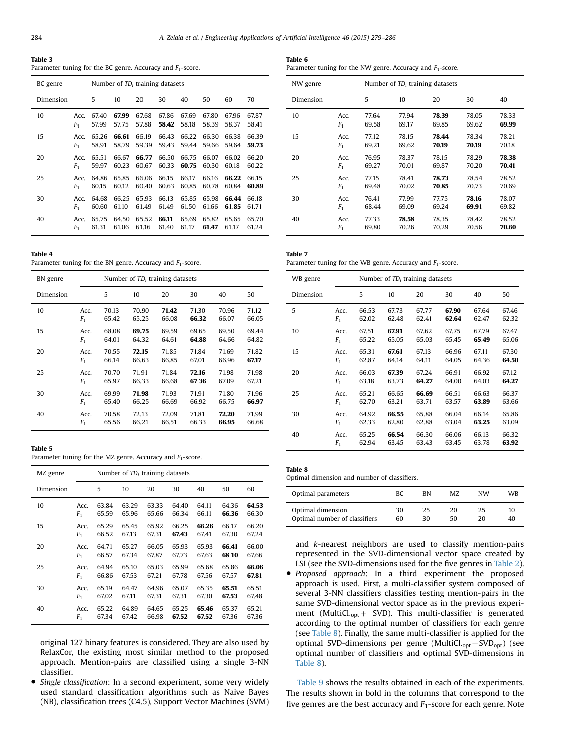<span id="page-5-0"></span>Table 3 Parameter tuning for the BC genre. Accuracy and  $F_1$ -score.

| BC genre  |                | Number of $TD_i$ training datasets |       |       |       |       |       |       |       |
|-----------|----------------|------------------------------------|-------|-------|-------|-------|-------|-------|-------|
| Dimension |                | 5                                  | 10    | 20    | 30    | 40    | 50    | 60    | 70    |
| 10        | Acc.           | 67.40                              | 67.99 | 67.68 | 67.86 | 67.69 | 67.80 | 67.96 | 67.87 |
|           | F <sub>1</sub> | 57.99                              | 57.75 | 57.88 | 58.42 | 58.18 | 58.39 | 58.37 | 58.41 |
| 15        | Acc.           | 65.26                              | 66.61 | 66.19 | 66.43 | 66.22 | 66.30 | 66.38 | 66.39 |
|           | F <sub>1</sub> | 58.91                              | 58.79 | 59.39 | 59.43 | 59.44 | 59.66 | 59.64 | 59.73 |
| 20        | Acc.           | 65.51                              | 66.67 | 66.77 | 66.50 | 66.75 | 66.07 | 66.02 | 66.20 |
|           | F <sub>1</sub> | 59.97                              | 60.23 | 60.67 | 60.33 | 60.75 | 60.30 | 60.18 | 60.22 |
| 25        | Acc.           | 64.86                              | 65.85 | 66.06 | 66.15 | 66.17 | 66.16 | 66.22 | 66.15 |
|           | F <sub>1</sub> | 60.15                              | 60.12 | 60.40 | 60.63 | 60.85 | 60.78 | 60.84 | 60.89 |
| 30        | Acc.           | 64.68                              | 66.25 | 65.93 | 66.13 | 65.85 | 65.98 | 66.44 | 66.18 |
|           | F <sub>1</sub> | 60.60                              | 61.10 | 61.49 | 61.49 | 61.50 | 61.66 | 61.85 | 61.71 |
| 40        | Acc.           | 65.75                              | 64.50 | 65.52 | 66.11 | 65.69 | 65.82 | 65.65 | 65.70 |
|           | F <sub>1</sub> | 61.31                              | 61.06 | 61.16 | 61.40 | 61.17 | 61.47 | 61.17 | 61.24 |

Table 4

Parameter tuning for the BN genre. Accuracy and  $F_1$ -score.

| BN genre  |                | Number of TD <sub>i</sub> training datasets |       |       |       |       |       |  |  |
|-----------|----------------|---------------------------------------------|-------|-------|-------|-------|-------|--|--|
| Dimension |                | 5                                           | 10    | 20    | 30    | 40    | 50    |  |  |
| 10        | Acc.           | 70.13                                       | 70.90 | 71.42 | 71.30 | 70.96 | 71.12 |  |  |
|           | F <sub>1</sub> | 65.42                                       | 65.25 | 66.08 | 66.32 | 66.07 | 66.05 |  |  |
| 15        | Acc.           | 68.08                                       | 69.75 | 69.59 | 69.65 | 69.50 | 69.44 |  |  |
|           | F <sub>1</sub> | 64.01                                       | 64.32 | 64.61 | 64.88 | 64.66 | 64.82 |  |  |
| 20        | Acc.           | 70.55                                       | 72.15 | 71.85 | 71.84 | 71.69 | 71.82 |  |  |
|           | F <sub>1</sub> | 66.14                                       | 66.63 | 66.85 | 67.01 | 66.96 | 67.17 |  |  |
| 25        | Acc.           | 70.70                                       | 71.91 | 71.84 | 72.16 | 71.98 | 71.98 |  |  |
|           | F <sub>1</sub> | 65.97                                       | 66.33 | 66.68 | 67.36 | 67.09 | 67.21 |  |  |
| 30        | Acc.           | 69.99                                       | 71.98 | 71.93 | 71.91 | 71.80 | 71.96 |  |  |
|           | F <sub>1</sub> | 65.40                                       | 66.25 | 66.69 | 66.92 | 66.75 | 66.97 |  |  |
| 40        | Acc.           | 70.58                                       | 72.13 | 72.09 | 71.81 | 72.20 | 71.99 |  |  |
|           | F <sub>1</sub> | 65.56                                       | 66.21 | 66.51 | 66.33 | 66.95 | 66.68 |  |  |

## Table 5

Parameter tuning for the MZ genre. Accuracy and  $F_1$ -score.

| MZ genre  |                | Number of $TD_i$ training datasets |       |       |       |       |       |       |  |
|-----------|----------------|------------------------------------|-------|-------|-------|-------|-------|-------|--|
| Dimension |                | 5                                  | 10    | 20    | 30    | 40    | 50    | 60    |  |
| 10        | Acc.           | 63.84                              | 63.29 | 63.33 | 64.40 | 64.11 | 64.36 | 64.53 |  |
|           | F <sub>1</sub> | 65.59                              | 65.96 | 65.66 | 66.34 | 66.11 | 66.36 | 66.30 |  |
| 15        | Acc.           | 65.29                              | 65.45 | 65.92 | 66.25 | 66.26 | 66.17 | 66.20 |  |
|           | F <sub>1</sub> | 66.52                              | 67.13 | 67.31 | 67.43 | 67.41 | 67.30 | 67.24 |  |
| 20        | Acc.           | 64.71                              | 65.27 | 66.05 | 65.93 | 65.93 | 66.41 | 66.00 |  |
|           | F <sub>1</sub> | 66.57                              | 67.34 | 67.87 | 67.73 | 67.63 | 68.10 | 67.66 |  |
| 25        | Acc.           | 64.94                              | 65.10 | 65.03 | 65.99 | 65.68 | 65.86 | 66.06 |  |
|           | F <sub>1</sub> | 66.86                              | 67.53 | 67.21 | 67.78 | 67.56 | 67.57 | 67.81 |  |
| 30        | Acc.           | 65.19                              | 64.47 | 64.96 | 65.07 | 65.35 | 65.51 | 65.51 |  |
|           | F <sub>1</sub> | 67.02                              | 67.11 | 67.31 | 67.31 | 67.30 | 67.53 | 67.48 |  |
| 40        | Acc.           | 65.22                              | 64.89 | 64.65 | 65.25 | 65.46 | 65.37 | 65.21 |  |
|           | F <sub>1</sub> | 67.34                              | 67.42 | 66.98 | 67.52 | 67.52 | 67.36 | 67.36 |  |

original 127 binary features is considered. They are also used by RelaxCor, the existing most similar method to the proposed approach. Mention-pairs are classified using a single 3-NN classifier.

 Single classification: In a second experiment, some very widely used standard classification algorithms such as Naive Bayes (NB), classification trees (C4.5), Support Vector Machines (SVM)

Table 6 Parameter tuning for the NW genre. Accuracy and  $F_1$ -score.

| NW genre  | Number of $TD_i$ training datasets |       |       |       |       |       |  |  |
|-----------|------------------------------------|-------|-------|-------|-------|-------|--|--|
| Dimension |                                    | 5     | 10    | 20    | 30    | 40    |  |  |
| 10        | Acc.                               | 77.64 | 77.94 | 78.39 | 78.05 | 78.33 |  |  |
|           | F <sub>1</sub>                     | 69.58 | 69.17 | 69.85 | 69.62 | 69.99 |  |  |
| 15        | Acc.                               | 77.12 | 78.15 | 78.44 | 78.34 | 78.21 |  |  |
|           | F <sub>1</sub>                     | 69.21 | 69.62 | 70.19 | 70.19 | 70.18 |  |  |
| 20        | Acc.                               | 76.95 | 78.37 | 78.15 | 78.29 | 78.38 |  |  |
|           | F <sub>1</sub>                     | 69.27 | 70.01 | 69.87 | 70.20 | 70.41 |  |  |
| 25        | Acc.                               | 77.15 | 78.41 | 78.73 | 78.54 | 78.52 |  |  |
|           | F <sub>1</sub>                     | 69.48 | 70.02 | 70.85 | 70.73 | 70.69 |  |  |
| 30        | Acc.                               | 76.41 | 77.99 | 77.75 | 78.16 | 78.07 |  |  |
|           | F <sub>1</sub>                     | 68.44 | 69.09 | 69.24 | 69.91 | 69.82 |  |  |
| 40        | Acc.                               | 77.33 | 78.58 | 78.35 | 78.42 | 78.52 |  |  |
|           | F <sub>1</sub>                     | 69.80 | 70.26 | 70.29 | 70.56 | 70.60 |  |  |

| Table 7                                                       |  |
|---------------------------------------------------------------|--|
| Parameter tuning for the WB genre. Accuracy and $F_1$ -score. |  |

| WB genre  | Number of $TD_i$ training datasets |       |       |       |       |       |       |  |
|-----------|------------------------------------|-------|-------|-------|-------|-------|-------|--|
| Dimension |                                    | 5     | 10    | 20    | 30    | 40    | 50    |  |
| 5         | Acc.                               | 66.53 | 67.73 | 67.77 | 67.90 | 67.64 | 67.46 |  |
|           | F <sub>1</sub>                     | 62.02 | 62.48 | 62.41 | 62.64 | 62.47 | 62.32 |  |
| 10        | Acc.                               | 67.51 | 67.91 | 67.62 | 67.75 | 67.79 | 67.47 |  |
|           | F <sub>1</sub>                     | 65.22 | 65.05 | 65.03 | 65.45 | 65.49 | 65.06 |  |
| 15        | Acc.                               | 65.31 | 67.61 | 67.13 | 66.96 | 67.11 | 67.30 |  |
|           | F <sub>1</sub>                     | 62.87 | 64.14 | 64.11 | 64.05 | 64.36 | 64.50 |  |
| 20        | Acc.                               | 66.03 | 67.39 | 67.24 | 66.91 | 66.92 | 67.12 |  |
|           | F <sub>1</sub>                     | 63.18 | 63.73 | 64.27 | 64.00 | 64.03 | 64.27 |  |
| 25        | Acc.                               | 65.21 | 66.65 | 66.69 | 66.51 | 66.63 | 66.37 |  |
|           | F <sub>1</sub>                     | 62.70 | 63.21 | 63.71 | 63.57 | 63.89 | 63.66 |  |
| 30        | Acc.                               | 64.92 | 66.55 | 65.88 | 66.04 | 66.14 | 65.86 |  |
|           | F <sub>1</sub>                     | 62.33 | 62.80 | 62.88 | 63.04 | 63.25 | 63.09 |  |
| 40        | Acc.                               | 65.25 | 66.54 | 66.30 | 66.06 | 66.13 | 66.32 |  |
|           | F <sub>1</sub>                     | 62.94 | 63.45 | 63.43 | 63.45 | 63.78 | 63.92 |  |

Optimal dimension and number of classifiers.

| Optimal parameters            | ВC | <b>BN</b> | MZ. | <b>NW</b> | WR |
|-------------------------------|----|-----------|-----|-----------|----|
| Optimal dimension             | 30 | 25        | 20  | 25        | 10 |
| Optimal number of classifiers | 60 | 30        | 50  | 20        | 40 |

and k-nearest neighbors are used to classify mention-pairs represented in the SVD-dimensional vector space created by LSI (see the SVD-dimensions used for the five genres in [Table 2\)](#page-4-0). • Proposed approach: In a third experiment the proposed approach is used. First, a multi-classifier system composed of several 3-NN classifiers classifies testing mention-pairs in the same SVD-dimensional vector space as in the previous experiment (MultiCl.<sub>opt</sub> + SVD). This multi-classifier is generated according to the optimal number of classifiers for each genre (see Table 8). Finally, the same multi-classifier is applied for the optimal SVD-dimensions per genre (MultiCl. $_{opt}$ +SVD<sub>opt</sub>) (see optimal number of classifiers and optimal SVD-dimensions in Table 8).

[Table 9](#page-6-0) shows the results obtained in each of the experiments. The results shown in bold in the columns that correspond to the five genres are the best accuracy and  $F_1$ -score for each genre. Note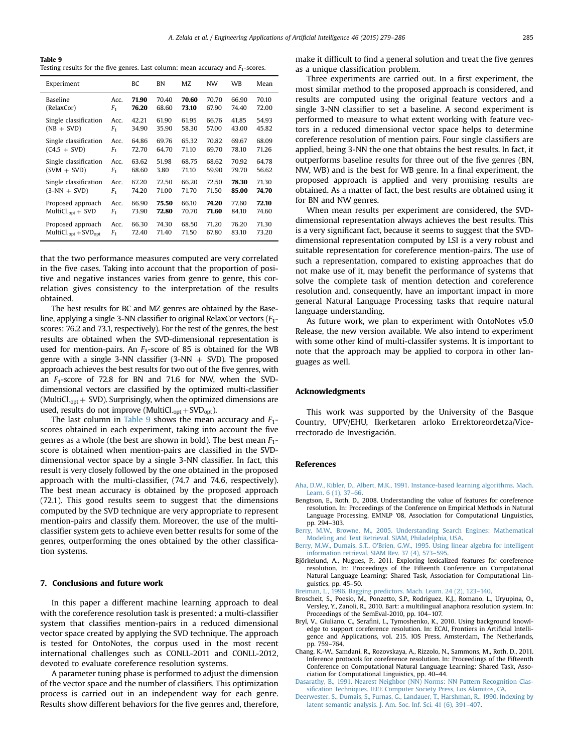<span id="page-6-0"></span>Table 9 Testing results for the five genres. Last column: mean accuracy and  $F_1$ -scores.

| Experiment                         |                | ВC    | BN    | MZ    | NW    | WB    | Mean  |
|------------------------------------|----------------|-------|-------|-------|-------|-------|-------|
| <b>Baseline</b>                    | Acc.           | 71.90 | 70.40 | 70.60 | 70.70 | 66.90 | 70.10 |
| (RelaxCor)                         | F <sub>1</sub> | 76.20 | 68.60 | 73.10 | 67.90 | 74.40 | 72.00 |
| Single classification              | Acc.           | 42.21 | 61.90 | 61.95 | 66.76 | 41.85 | 54.93 |
| $(NB + SVD)$                       | F <sub>1</sub> | 34.90 | 35.90 | 58.30 | 57.00 | 43.00 | 45.82 |
| Single classification              | Acc.           | 64.86 | 69.76 | 65.32 | 70.82 | 69.67 | 68.09 |
| $(C4.5 + SVD)$                     | F <sub>1</sub> | 72.70 | 64.70 | 71.10 | 69.70 | 78.10 | 71.26 |
| Single classification              | Acc.           | 63.62 | 51.98 | 68.75 | 68.62 | 70.92 | 64.78 |
| $(SVM + SVD)$                      | F <sub>1</sub> | 68.60 | 3.80  | 71.10 | 59.90 | 79.70 | 56.62 |
| Single classification              | Acc.           | 67.20 | 72.50 | 66.20 | 72.50 | 78.30 | 71.30 |
| $(3-NN + SVD)$                     | F <sub>1</sub> | 74.20 | 71.00 | 71.70 | 71.50 | 85.00 | 74.70 |
| Proposed approach                  | Acc.           | 66.90 | 75.50 | 66.10 | 74.20 | 77.60 | 72.10 |
| MultiCl. <sub>opt</sub> $+$ SVD    | F <sub>1</sub> | 73.90 | 72.80 | 70.70 | 71.60 | 84.10 | 74.60 |
| Proposed approach                  | Acc.           | 66.30 | 74.30 | 68.50 | 71.20 | 76.20 | 71.30 |
| MultiCl. <sub>opt</sub> + $SVDopt$ | F <sub>1</sub> | 72.40 | 71.40 | 71.50 | 67.80 | 83.10 | 73.20 |

that the two performance measures computed are very correlated in the five cases. Taking into account that the proportion of positive and negative instances varies from genre to genre, this correlation gives consistency to the interpretation of the results obtained.

The best results for BC and MZ genres are obtained by the Baseline, applying a single 3-NN classifier to original RelaxCor vectors  $(F_1 - F_2)$ scores: 76.2 and 73.1, respectively). For the rest of the genres, the best results are obtained when the SVD-dimensional representation is used for mention-pairs. An  $F_1$ -score of 85 is obtained for the WB genre with a single 3-NN classifier  $(3-NN + SVD)$ . The proposed approach achieves the best results for two out of the five genres, with an  $F_1$ -score of 72.8 for BN and 71.6 for NW, when the SVDdimensional vectors are classified by the optimized multi-classifier (MultiCl.<sub>opt</sub> + SVD). Surprisingly, when the optimized dimensions are used, results do not improve (MultiCl.<sub>opt</sub> + SVD<sub>opt</sub>).

The last column in Table 9 shows the mean accuracy and  $F_1$ scores obtained in each experiment, taking into account the five genres as a whole (the best are shown in bold). The best mean  $F_1$ score is obtained when mention-pairs are classified in the SVDdimensional vector space by a single 3-NN classifier. In fact, this result is very closely followed by the one obtained in the proposed approach with the multi-classifier, (74.7 and 74.6, respectively). The best mean accuracy is obtained by the proposed approach (72.1). This good results seem to suggest that the dimensions computed by the SVD technique are very appropriate to represent mention-pairs and classify them. Moreover, the use of the multiclassifier system gets to achieve even better results for some of the genres, outperforming the ones obtained by the other classification systems.

## 7. Conclusions and future work

In this paper a different machine learning approach to deal with the coreference resolution task is presented: a multi-classifier system that classifies mention-pairs in a reduced dimensional vector space created by applying the SVD technique. The approach is tested for OntoNotes, the corpus used in the most recent international challenges such as CONLL-2011 and CONLL-2012, devoted to evaluate coreference resolution systems.

A parameter tuning phase is performed to adjust the dimension of the vector space and the number of classifiers. This optimization process is carried out in an independent way for each genre. Results show different behaviors for the five genres and, therefore, make it difficult to find a general solution and treat the five genres as a unique classification problem.

Three experiments are carried out. In a first experiment, the most similar method to the proposed approach is considered, and results are computed using the original feature vectors and a single 3-NN classifier to set a baseline. A second experiment is performed to measure to what extent working with feature vectors in a reduced dimensional vector space helps to determine coreference resolution of mention pairs. Four single classifiers are applied, being 3-NN the one that obtains the best results. In fact, it outperforms baseline results for three out of the five genres (BN, NW, WB) and is the best for WB genre. In a final experiment, the proposed approach is applied and very promising results are obtained. As a matter of fact, the best results are obtained using it for BN and NW genres.

When mean results per experiment are considered, the SVDdimensional representation always achieves the best results. This is a very significant fact, because it seems to suggest that the SVDdimensional representation computed by LSI is a very robust and suitable representation for coreference mention-pairs. The use of such a representation, compared to existing approaches that do not make use of it, may benefit the performance of systems that solve the complete task of mention detection and coreference resolution and, consequently, have an important impact in more general Natural Language Processing tasks that require natural language understanding.

As future work, we plan to experiment with OntoNotes v5.0 Release, the new version available. We also intend to experiment with some other kind of multi-classifer systems. It is important to note that the approach may be applied to corpora in other languages as well.

## Acknowledgments

This work was supported by the University of the Basque Country, UPV/EHU, Ikerketaren arloko Errektoreordetza/Vicerrectorado de Investigación.

#### References

- [Aha, D.W., Kibler, D., Albert, M.K., 1991. Instance-based learning algorithms. Mach.](http://refhub.elsevier.com/S0952-1976(15)00207-9/sbref1) [Learn. 6 \(1\), 37](http://refhub.elsevier.com/S0952-1976(15)00207-9/sbref1)–66.
- Bengtson, E., Roth, D., 2008. Understanding the value of features for coreference resolution. In: Proceedings of the Conference on Empirical Methods in Natural Language Processing, EMNLP '08, Association for Computational Linguistics, pp. 294–303.
- [Berry, M.W., Browne, M., 2005. Understanding Search Engines: Mathematical](http://refhub.elsevier.com/S0952-1976(15)00207-9/sbref3) [Modeling and Text Retrieval. SIAM, Philadelphia, USA.](http://refhub.elsevier.com/S0952-1976(15)00207-9/sbref3)
- [Berry, M.W., Dumais, S.T., O'Brien, G.W., 1995. Using linear algebra for intelligent](http://refhub.elsevier.com/S0952-1976(15)00207-9/sbref4) [information retrieval. SIAM Rev. 37 \(4\), 573](http://refhub.elsevier.com/S0952-1976(15)00207-9/sbref4)–595.
- Björkelund, A., Nugues, P., 2011. Exploring lexicalized features for coreference resolution. In: Proceedings of the Fifteenth Conference on Computational Natural Language Learning: Shared Task, Association for Computational Linguistics, pp. 45–50.
- [Breiman, L., 1996. Bagging predictors. Mach. Learn. 24 \(2\), 123](http://refhub.elsevier.com/S0952-1976(15)00207-9/sbref6)–140.
- Broscheit, S., Poesio, M., Ponzetto, S.P., Rodriguez, K.J., Romano, L., Uryupina, O., Versley, Y., Zanoli, R., 2010. Bart: a multilingual anaphora resolution system. In: Proceedings of the SemEval-2010, pp. 104–107.
- Bryl, V., Giuliano, C., Serafini, L., Tymoshenko, K., 2010. Using background knowledge to support coreference resolution. In: ECAI, Frontiers in Artificial Intelligence and Applications, vol. 215. IOS Press, Amsterdam, The Netherlands, pp. 759–764.
- Chang, K.-W., Samdani, R., Rozovskaya, A., Rizzolo, N., Sammons, M., Roth, D., 2011. Inference protocols for coreference resolution. In: Proceedings of the Fifteenth Conference on Computational Natural Language Learning: Shared Task, Association for Computational Linguistics, pp. 40–44.
- [Dasarathy, B., 1991. Nearest Neighbor \(NN\) Norms: NN Pattern Recognition Clas](http://refhub.elsevier.com/S0952-1976(15)00207-9/sbref10)sifi[cation Techniques. IEEE Computer Society Press, Los Alamitos, CA.](http://refhub.elsevier.com/S0952-1976(15)00207-9/sbref10)
- [Deerwester, S., Dumais, S., Furnas, G., Landauer, T., Harshman, R., 1990. Indexing by](http://refhub.elsevier.com/S0952-1976(15)00207-9/sbref11) [latent semantic analysis. J. Am. Soc. Inf. Sci. 41 \(6\), 391](http://refhub.elsevier.com/S0952-1976(15)00207-9/sbref11)–407.